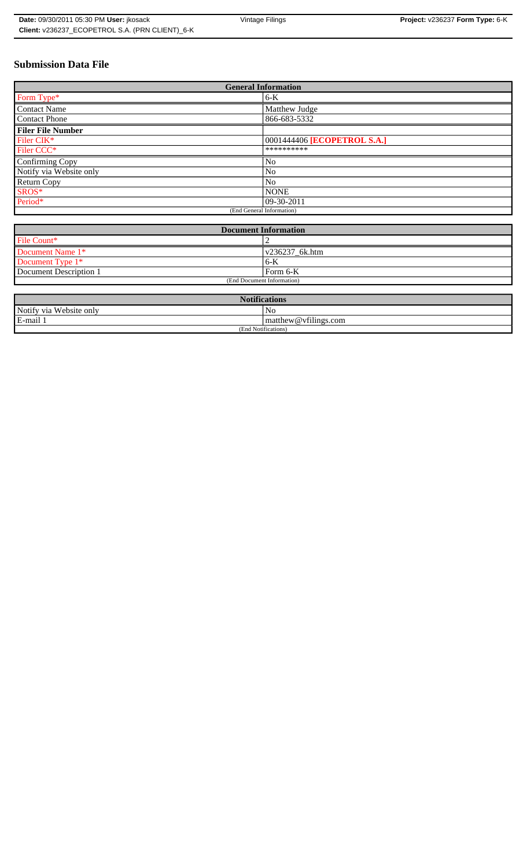# **Submission Data File**

| <b>General Information</b> |                             |
|----------------------------|-----------------------------|
| Form Type*                 | $6-K$                       |
| <b>Contact Name</b>        | Matthew Judge               |
| <b>Contact Phone</b>       | 866-683-5332                |
| <b>Filer File Number</b>   |                             |
| Filer CIK*                 | 0001444406 [ECOPETROL S.A.] |
| Filer CCC*                 | **********                  |
| Confirming Copy            | N <sub>0</sub>              |
| Notify via Website only    | No                          |
| Return Copy                | N <sub>0</sub>              |
| SROS*                      | <b>NONE</b>                 |
| Period*                    | 09-30-2011                  |
| (End General Information)  |                             |

| <b>Document Information</b> |                        |
|-----------------------------|------------------------|
| File Count*                 |                        |
| Document Name 1*            | $\sqrt{236237}$ 6k.htm |
| Document Type 1*            | $6-K$                  |
| Document Description 1      | Form 6-K               |
| (End Document Information)  |                        |

| <b>Notifications</b>         |                      |
|------------------------------|----------------------|
| Notify via<br>u Website only | No                   |
| E-mail 1                     | matthew@vfilings.com |
| (End Notifications)          |                      |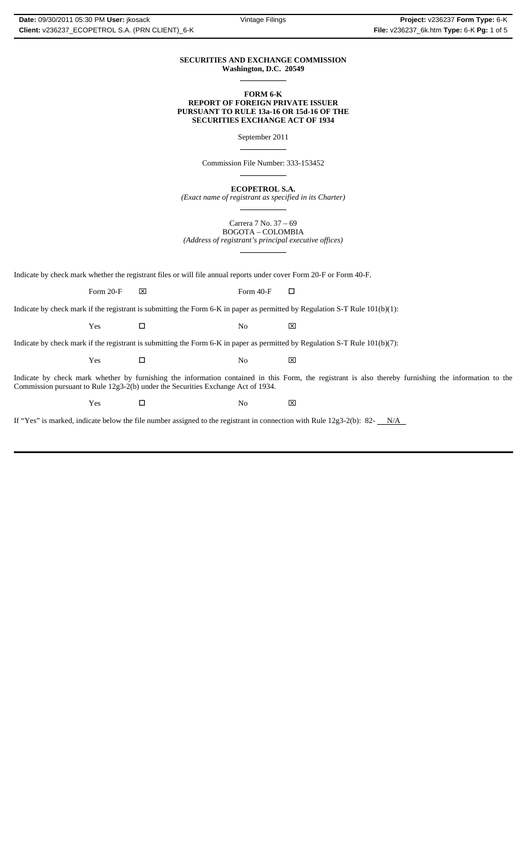#### **SECURITIES AND EXCHANGE COMMISSION Washington, D.C. 20549**  $\overline{a}$

## **FORM 6-K REPORT OF FOREIGN PRIVATE ISSUER PURSUANT TO RULE 13a-16 OR 15d-16 OF THE SECURITIES EXCHANGE ACT OF 1934**

September 2011

 $\overline{a}$ 

 $\overline{a}$ 

 $\overline{a}$ 

 $\overline{a}$ 

Commission File Number: 333-153452

**ECOPETROL S.A.**

*(Exact name of registrant as specified in its Charter)*

Carrera 7 No. 37 – 69 BOGOTA – COLOMBIA *(Address of registrant's principal executive offices)*

Indicate by check mark whether the registrant files or will file annual reports under cover Form 20-F or Form 40-F.

Form 20-F  $\boxtimes$  Form 40-F  $\Box$ 

Indicate by check mark if the registrant is submitting the Form 6-K in paper as permitted by Regulation S-T Rule 101(b)(1):

Yes □ No ⊠

Indicate by check mark if the registrant is submitting the Form 6-K in paper as permitted by Regulation S-T Rule 101(b)(7):

Yes □ No ⊠

Indicate by check mark whether by furnishing the information contained in this Form, the registrant is also thereby furnishing the information to the Commission pursuant to Rule 12g3-2(b) under the Securities Exchange Act of 1934.

 $Yes$   $\square$  No  $X$ 

If "Yes" is marked, indicate below the file number assigned to the registrant in connection with Rule  $12g3-2(b)$ : 82- $N/A$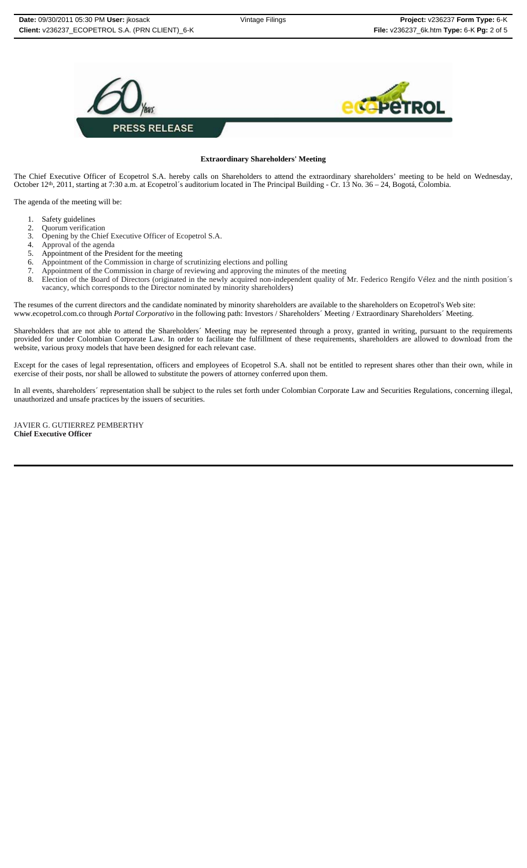

#### **Extraordinary Shareholders' Meeting**

The Chief Executive Officer of Ecopetrol S.A. hereby calls on Shareholders to attend the extraordinary shareholders' meeting to be held on Wednesday, October 12th, 2011, starting at 7:30 a.m. at Ecopetrol´s auditorium located in The Principal Building - Cr. 13 No. 36 – 24, Bogotá, Colombia.

The agenda of the meeting will be:

- 
- 
- 
- 
- 
- 
- 
- 1. Safety guidelines<br>
2. Quorum verification<br>
3. Opening by the Chief Executive Officer of Ecopetrol S.A.<br>
4. Approval of the agenda<br>
6. Appointment of the President for the meeting<br>
5. Appointment of the Commission in cha vacancy, which corresponds to the Director nominated by minority shareholders)

The resumes of the current directors and the candidate nominated by minority shareholders are available to the shareholders on Ecopetrol's Web site: www.ecopetrol.com.co through *Portal Corporativo* in the following path: Investors / Shareholders´ Meeting / Extraordinary Shareholders´ Meeting.

Shareholders that are not able to attend the Shareholders´ Meeting may be represented through a proxy, granted in writing, pursuant to the requirements provided for under Colombian Corporate Law. In order to facilitate the fulfillment of these requirements, shareholders are allowed to download from the website, various proxy models that have been designed for each relevant case.

Except for the cases of legal representation, officers and employees of Ecopetrol S.A. shall not be entitled to represent shares other than their own, while in exercise of their posts, nor shall be allowed to substitute the powers of attorney conferred upon them.

In all events, shareholders´ representation shall be subject to the rules set forth under Colombian Corporate Law and Securities Regulations, concerning illegal, unauthorized and unsafe practices by the issuers of securities.

JAVIER G. GUTIERREZ PEMBERTHY **Chief Executive Officer**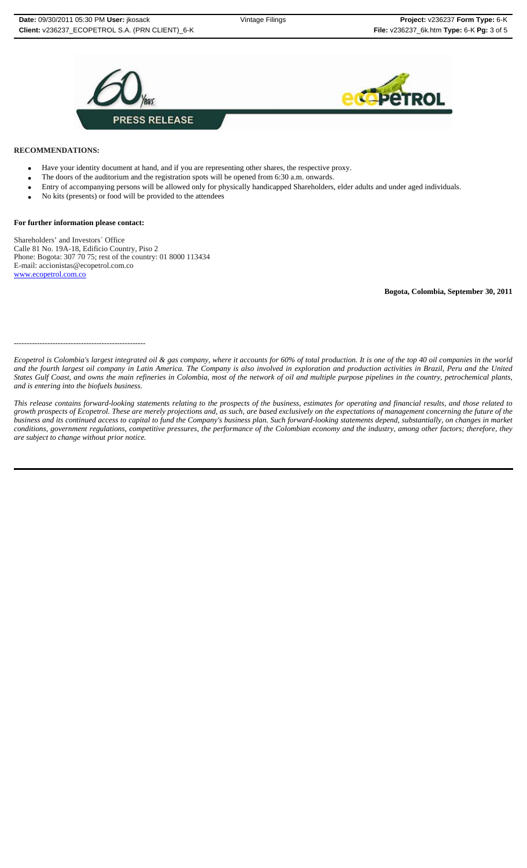



## **RECOMMENDATIONS:**

- Have your identity document at hand, and if you are representing other shares, the respective proxy.
- The doors of the auditorium and the registration spots will be opened from 6:30 a.m. onwards.
- Entry of accompanying persons will be allowed only for physically handicapped Shareholders, elder adults and under aged individuals.
- No kits (presents) or food will be provided to the attendees

### **For further information please contact:**

Shareholders' and Investors´ Office Calle 81 No. 19A-18, Edificio Country, Piso 2 Phone: Bogota: 307 70 75; rest of the country: 01 8000 113434 E-mail: accionistas@ecopetrol.com.co www.ecopetrol.com.co

**Bogota, Colombia, September 30, 2011**

---------------------------------------------------

*Ecopetrol is Colombia's largest integrated oil & gas company, where it accounts for 60% of total production. It is one of the top 40 oil companies in the world and the fourth largest oil company in Latin America. The Company is also involved in exploration and production activities in Brazil, Peru and the United States Gulf Coast, and owns the main refineries in Colombia, most of the network of oil and multiple purpose pipelines in the country, petrochemical plants, and is entering into the biofuels business.*

*This release contains forward-looking statements relating to the prospects of the business, estimates for operating and financial results, and those related to growth prospects of Ecopetrol. These are merely projections and, as such, are based exclusively on the expectations of management concerning the future of the business and its continued access to capital to fund the Company's business plan. Such forward-looking statements depend, substantially, on changes in market conditions, government regulations, competitive pressures, the performance of the Colombian economy and the industry, among other factors; therefore, they are subject to change without prior notice.*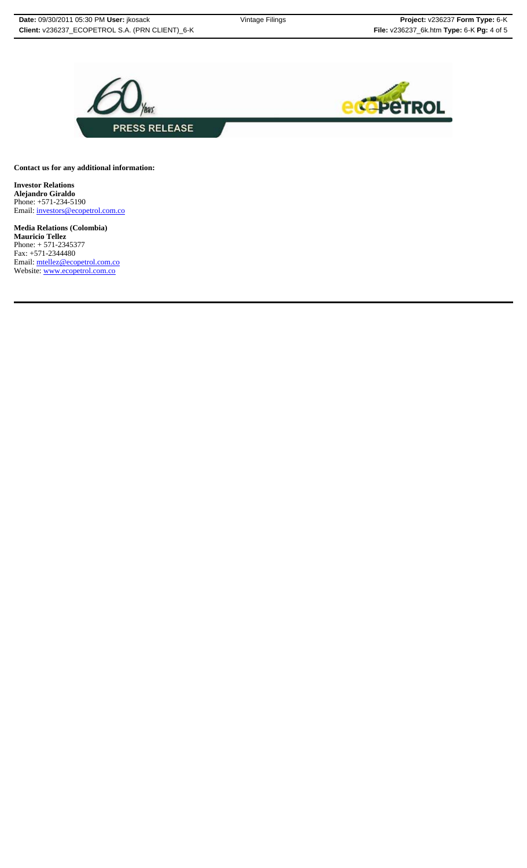

**Contact us for any additional information:**

**Investor Relations Alejandro Giraldo** Phone: +571-234-5190 Email: investors@ecopetrol.com.co

**Media Relations (Colombia) Mauricio Tellez** Phone: + 571-2345377 Fax: +571-2344480 Email: mtellez@ecopetrol.com.co Website: www.ecopetrol.com.co